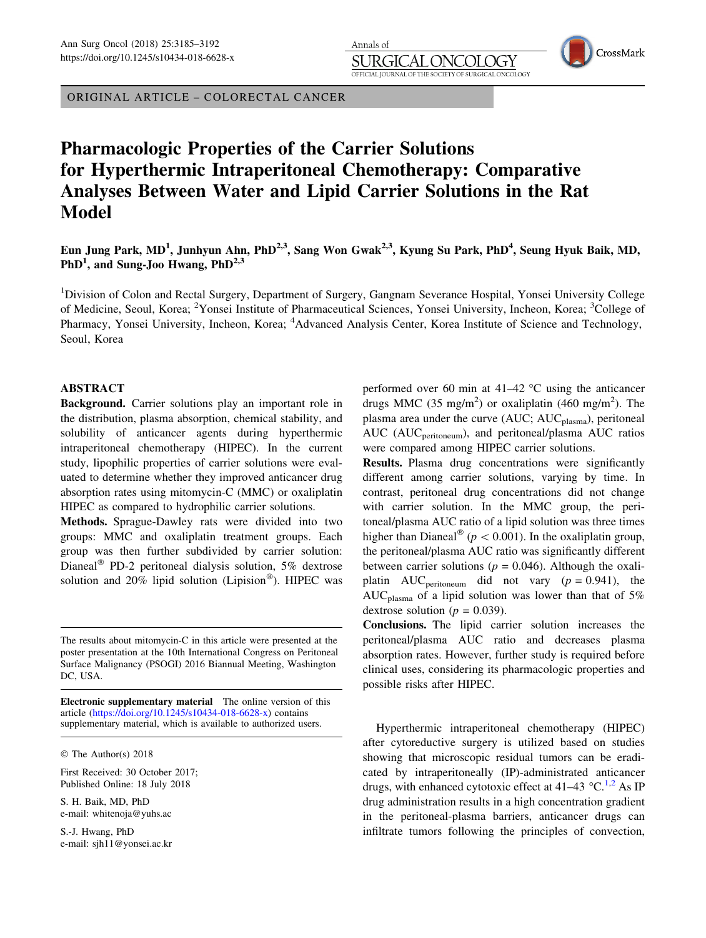ORIGINAL ARTICLE – COLORECTAL CANCER

# Pharmacologic Properties of the Carrier Solutions for Hyperthermic Intraperitoneal Chemotherapy: Comparative Analyses Between Water and Lipid Carrier Solutions in the Rat Model

Eun Jung Park, MD<sup>1</sup>, Junhyun Ahn, PhD<sup>2,3</sup>, Sang Won Gwak<sup>2,3</sup>, Kyung Su Park, PhD<sup>4</sup>, Seung Hyuk Baik, MD, PhD<sup>1</sup>, and Sung-Joo Hwang, PhD<sup>2,3</sup>

Annals of

**JRGI** 

OFFICIAL IOURNAL OF THE

<sup>1</sup>Division of Colon and Rectal Surgery, Department of Surgery, Gangnam Severance Hospital, Yonsei University College of Medicine, Seoul, Korea; <sup>2</sup>Yonsei Institute of Pharmaceutical Sciences, Yonsei University, Incheon, Korea; <sup>3</sup>College of Pharmacy, Yonsei University, Incheon, Korea; <sup>4</sup>Advanced Analysis Center, Korea Institute of Science and Technology, Seoul, Korea

## ABSTRACT

Background. Carrier solutions play an important role in the distribution, plasma absorption, chemical stability, and solubility of anticancer agents during hyperthermic intraperitoneal chemotherapy (HIPEC). In the current study, lipophilic properties of carrier solutions were evaluated to determine whether they improved anticancer drug absorption rates using mitomycin-C (MMC) or oxaliplatin HIPEC as compared to hydrophilic carrier solutions.

Methods. Sprague-Dawley rats were divided into two groups: MMC and oxaliplatin treatment groups. Each group was then further subdivided by carrier solution: Dianeal<sup>®</sup> PD-2 peritoneal dialysis solution, 5% dextrose solution and 20% lipid solution (Lipision®). HIPEC was

Electronic supplementary material The online version of this article [\(https://doi.org/10.1245/s10434-018-6628-x](https://doi.org/10.1245/s10434-018-6628-x)) contains supplementary material, which is available to authorized users.

The Author(s) 2018

First Received: 30 October 2017; Published Online: 18 July 2018

S. H. Baik, MD, PhD e-mail: whitenoja@yuhs.ac

S.-J. Hwang, PhD e-mail: sjh11@yonsei.ac.kr performed over 60 min at  $41-42$  °C using the anticancer drugs MMC (35 mg/m<sup>2</sup>) or oxaliplatin (460 mg/m<sup>2</sup>). The plasma area under the curve (AUC; AUC<sub>plasma</sub>), peritoneal AUC (AUC<sub>peritoneum</sub>), and peritoneal/plasma AUC ratios were compared among HIPEC carrier solutions.

OGY SURGICAL ONCOLOGY CrossMark

Results. Plasma drug concentrations were significantly different among carrier solutions, varying by time. In contrast, peritoneal drug concentrations did not change with carrier solution. In the MMC group, the peritoneal/plasma AUC ratio of a lipid solution was three times higher than Dianeal<sup>®</sup> ( $p < 0.001$ ). In the oxaliplatin group, the peritoneal/plasma AUC ratio was significantly different between carrier solutions ( $p = 0.046$ ). Although the oxaliplatin AUC<sub>peritoneum</sub> did not vary  $(p = 0.941)$ , the AUC<sub>plasma</sub> of a lipid solution was lower than that of 5% dextrose solution ( $p = 0.039$ ).

Conclusions. The lipid carrier solution increases the peritoneal/plasma AUC ratio and decreases plasma absorption rates. However, further study is required before clinical uses, considering its pharmacologic properties and possible risks after HIPEC.

Hyperthermic intraperitoneal chemotherapy (HIPEC) after cytoreductive surgery is utilized based on studies showing that microscopic residual tumors can be eradicated by intraperitoneally (IP)-administrated anticancer drugs, with enhanced cytotoxic effect at 41–43  $^{\circ}$ C.<sup>[1,2](#page-7-0)</sup> As IP drug administration results in a high concentration gradient in the peritoneal-plasma barriers, anticancer drugs can infiltrate tumors following the principles of convection,

The results about mitomycin-C in this article were presented at the poster presentation at the 10th International Congress on Peritoneal Surface Malignancy (PSOGI) 2016 Biannual Meeting, Washington DC, USA.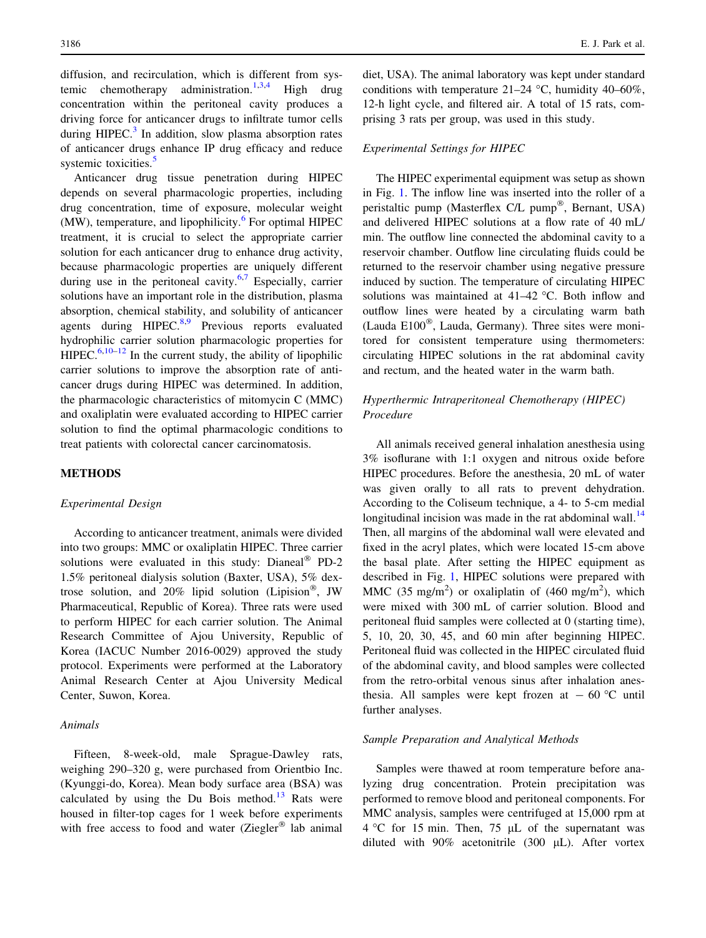diffusion, and recirculation, which is different from sys-temic chemotherapy administration.<sup>[1,3,4](#page-7-0)</sup> High drug concentration within the peritoneal cavity produces a driving force for anticancer drugs to infiltrate tumor cells during HIPEC. $3$  In addition, slow plasma absorption rates of anticancer drugs enhance IP drug efficacy and reduce systemic toxicities.<sup>[5](#page-7-0)</sup>

Anticancer drug tissue penetration during HIPEC depends on several pharmacologic properties, including drug concentration, time of exposure, molecular weight  $(MW)$ , temperature, and lipophilicity.<sup>[6](#page-7-0)</sup> For optimal HIPEC treatment, it is crucial to select the appropriate carrier solution for each anticancer drug to enhance drug activity, because pharmacologic properties are uniquely different during use in the peritoneal cavity. $6.7$  Especially, carrier solutions have an important role in the distribution, plasma absorption, chemical stability, and solubility of anticancer agents during  $HIPEC<sup>8,9</sup>$  $HIPEC<sup>8,9</sup>$  $HIPEC<sup>8,9</sup>$  Previous reports evaluated hydrophilic carrier solution pharmacologic properties for  $HIPEC.<sup>6,10–12</sup>$  $HIPEC.<sup>6,10–12</sup>$  $HIPEC.<sup>6,10–12</sup>$  $HIPEC.<sup>6,10–12</sup>$  $HIPEC.<sup>6,10–12</sup>$  In the current study, the ability of lipophilic carrier solutions to improve the absorption rate of anticancer drugs during HIPEC was determined. In addition, the pharmacologic characteristics of mitomycin C (MMC) and oxaliplatin were evaluated according to HIPEC carrier solution to find the optimal pharmacologic conditions to treat patients with colorectal cancer carcinomatosis.

# METHODS

## Experimental Design

According to anticancer treatment, animals were divided into two groups: MMC or oxaliplatin HIPEC. Three carrier solutions were evaluated in this study: Dianeal® PD-2 1.5% peritoneal dialysis solution (Baxter, USA), 5% dextrose solution, and 20% lipid solution (Lipision®, JW Pharmaceutical, Republic of Korea). Three rats were used to perform HIPEC for each carrier solution. The Animal Research Committee of Ajou University, Republic of Korea (IACUC Number 2016-0029) approved the study protocol. Experiments were performed at the Laboratory Animal Research Center at Ajou University Medical Center, Suwon, Korea.

# Animals

Fifteen, 8-week-old, male Sprague-Dawley rats, weighing 290–320 g, were purchased from Orientbio Inc. (Kyunggi-do, Korea). Mean body surface area (BSA) was calculated by using the Du Bois method. $13$  Rats were housed in filter-top cages for 1 week before experiments with free access to food and water (Ziegler® lab animal

diet, USA). The animal laboratory was kept under standard conditions with temperature  $21-24$  °C, humidity 40–60%, 12-h light cycle, and filtered air. A total of 15 rats, comprising 3 rats per group, was used in this study.

#### Experimental Settings for HIPEC

The HIPEC experimental equipment was setup as shown in Fig. [1](#page-2-0). The inflow line was inserted into the roller of a peristaltic pump (Masterflex C/L pump®, Bernant, USA) and delivered HIPEC solutions at a flow rate of 40 mL/ min. The outflow line connected the abdominal cavity to a reservoir chamber. Outflow line circulating fluids could be returned to the reservoir chamber using negative pressure induced by suction. The temperature of circulating HIPEC solutions was maintained at  $41-42$  °C. Both inflow and outflow lines were heated by a circulating warm bath (Lauda E100®, Lauda, Germany). Three sites were monitored for consistent temperature using thermometers: circulating HIPEC solutions in the rat abdominal cavity and rectum, and the heated water in the warm bath.

# Hyperthermic Intraperitoneal Chemotherapy (HIPEC) Procedure

All animals received general inhalation anesthesia using 3% isoflurane with 1:1 oxygen and nitrous oxide before HIPEC procedures. Before the anesthesia, 20 mL of water was given orally to all rats to prevent dehydration. According to the Coliseum technique, a 4- to 5-cm medial longitudinal incision was made in the rat abdominal wall.<sup>[14](#page-7-0)</sup> Then, all margins of the abdominal wall were elevated and fixed in the acryl plates, which were located 15-cm above the basal plate. After setting the HIPEC equipment as described in Fig. [1](#page-2-0), HIPEC solutions were prepared with MMC (35 mg/m<sup>2</sup>) or oxaliplatin of (460 mg/m<sup>2</sup>), which were mixed with 300 mL of carrier solution. Blood and peritoneal fluid samples were collected at 0 (starting time), 5, 10, 20, 30, 45, and 60 min after beginning HIPEC. Peritoneal fluid was collected in the HIPEC circulated fluid of the abdominal cavity, and blood samples were collected from the retro-orbital venous sinus after inhalation anesthesia. All samples were kept frozen at  $-60$  °C until further analyses.

# Sample Preparation and Analytical Methods

Samples were thawed at room temperature before analyzing drug concentration. Protein precipitation was performed to remove blood and peritoneal components. For MMC analysis, samples were centrifuged at 15,000 rpm at  $4^{\circ}$ C for 15 min. Then, 75 µL of the supernatant was diluted with  $90\%$  acetonitrile (300  $\mu$ L). After vortex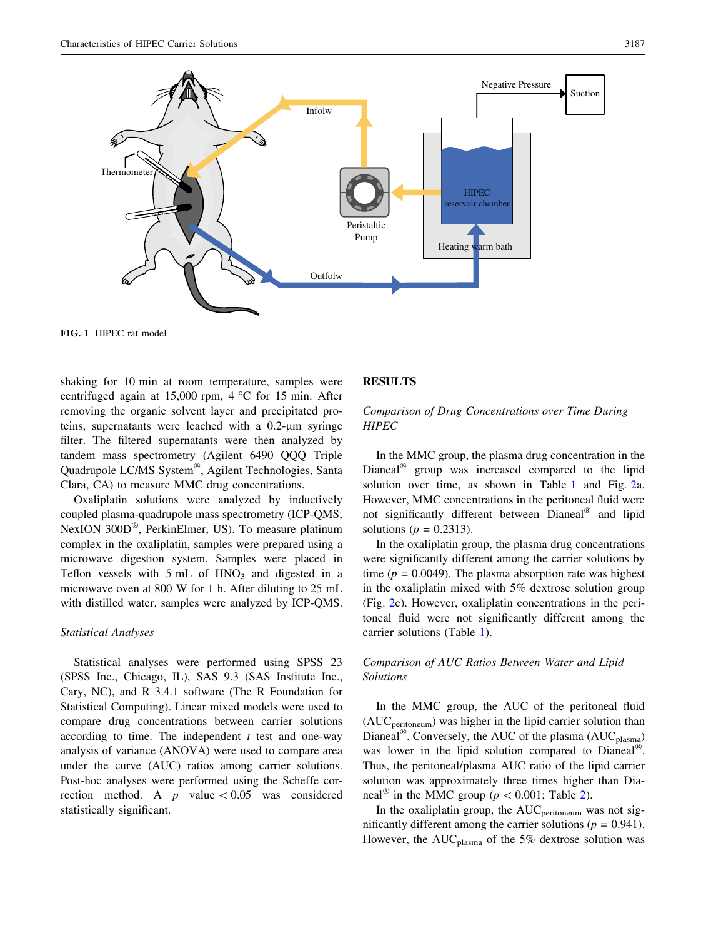<span id="page-2-0"></span>

FIG. 1 HIPEC rat model

shaking for 10 min at room temperature, samples were centrifuged again at 15,000 rpm,  $4^{\circ}$ C for 15 min. After removing the organic solvent layer and precipitated proteins, supernatants were leached with a  $0.2$ - $\mu$ m syringe filter. The filtered supernatants were then analyzed by tandem mass spectrometry (Agilent 6490 QQQ Triple Quadrupole LC/MS System®, Agilent Technologies, Santa Clara, CA) to measure MMC drug concentrations.

Oxaliplatin solutions were analyzed by inductively coupled plasma-quadrupole mass spectrometry (ICP-QMS; NexION 300D®, PerkinElmer, US). To measure platinum complex in the oxaliplatin, samples were prepared using a microwave digestion system. Samples were placed in Teflon vessels with  $5$  mL of  $HNO<sub>3</sub>$  and digested in a microwave oven at 800 W for 1 h. After diluting to 25 mL with distilled water, samples were analyzed by ICP-QMS.

#### Statistical Analyses

Statistical analyses were performed using SPSS 23 (SPSS Inc., Chicago, IL), SAS 9.3 (SAS Institute Inc., Cary, NC), and R 3.4.1 software (The R Foundation for Statistical Computing). Linear mixed models were used to compare drug concentrations between carrier solutions according to time. The independent  $t$  test and one-way analysis of variance (ANOVA) were used to compare area under the curve (AUC) ratios among carrier solutions. Post-hoc analyses were performed using the Scheffe correction method. A  $p$  value  $\lt 0.05$  was considered statistically significant.

## RESULTS

# Comparison of Drug Concentrations over Time During **HIPEC**

In the MMC group, the plasma drug concentration in the Dianeal<sup>®</sup> group was increased compared to the lipid solution over time, as shown in Table [1](#page-3-0) and Fig. [2](#page-4-0)a. However, MMC concentrations in the peritoneal fluid were not significantly different between Dianeal® and lipid solutions ( $p = 0.2313$ ).

In the oxaliplatin group, the plasma drug concentrations were significantly different among the carrier solutions by time ( $p = 0.0049$ ). The plasma absorption rate was highest in the oxaliplatin mixed with 5% dextrose solution group (Fig. [2c](#page-4-0)). However, oxaliplatin concentrations in the peritoneal fluid were not significantly different among the carrier solutions (Table [1\)](#page-3-0).

# Comparison of AUC Ratios Between Water and Lipid Solutions

In the MMC group, the AUC of the peritoneal fluid  $(AUC<sub>peritoneum</sub>)$  was higher in the lipid carrier solution than Dianeal®. Conversely, the AUC of the plasma ( $AUC_{plasma}$ ) was lower in the lipid solution compared to Dianeal®. Thus, the peritoneal/plasma AUC ratio of the lipid carrier solution was approximately three times higher than Dianeal<sup>®</sup> in the MMC group ( $p < 0.001$ ; Table [2](#page-5-0)).

In the oxaliplatin group, the  $AUC_{\text{peritoneum}}$  was not significantly different among the carrier solutions ( $p = 0.941$ ). However, the  $AUC_{plasma}$  of the 5% dextrose solution was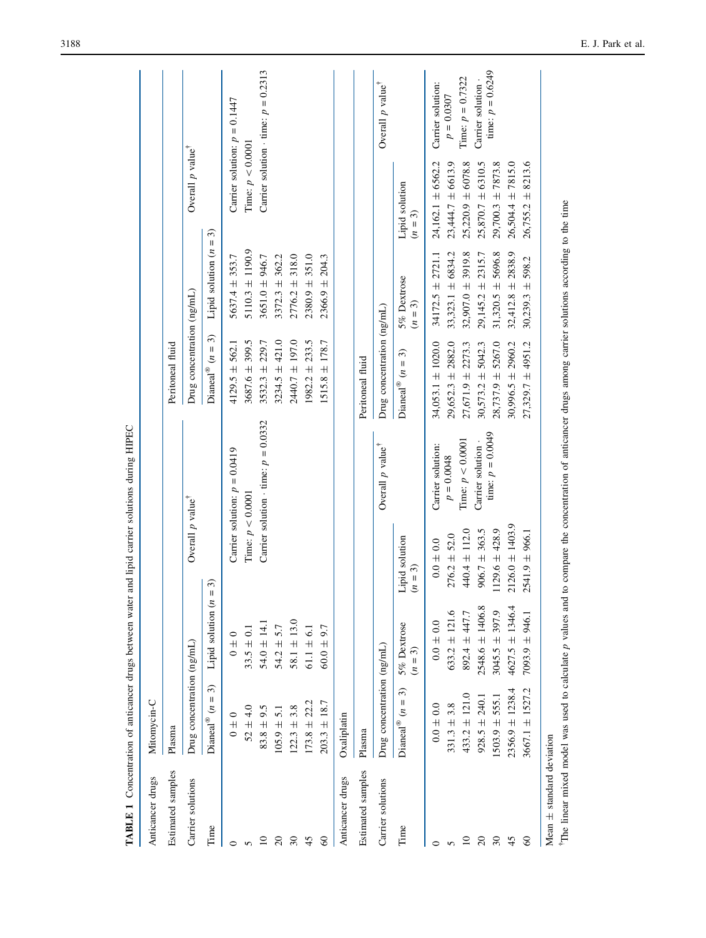<span id="page-3-0"></span>

|                                                                                                                    |                                                                                                                                                |                                                                                                                                               |                                                                                                                                                | <b>TADITE 1</b> Concentration of structures between water and ripti carrier solutions during raters                                                                                                                                                           |                                                                                                                                                                             |                                                                                                                                                                           |                                                                                                                                                                             |                                                                                                     |
|--------------------------------------------------------------------------------------------------------------------|------------------------------------------------------------------------------------------------------------------------------------------------|-----------------------------------------------------------------------------------------------------------------------------------------------|------------------------------------------------------------------------------------------------------------------------------------------------|---------------------------------------------------------------------------------------------------------------------------------------------------------------------------------------------------------------------------------------------------------------|-----------------------------------------------------------------------------------------------------------------------------------------------------------------------------|---------------------------------------------------------------------------------------------------------------------------------------------------------------------------|-----------------------------------------------------------------------------------------------------------------------------------------------------------------------------|-----------------------------------------------------------------------------------------------------|
| Anticancer drugs                                                                                                   | Mitomycin-C                                                                                                                                    |                                                                                                                                               |                                                                                                                                                |                                                                                                                                                                                                                                                               |                                                                                                                                                                             |                                                                                                                                                                           |                                                                                                                                                                             |                                                                                                     |
| Estimated samples                                                                                                  | Plasma                                                                                                                                         |                                                                                                                                               |                                                                                                                                                |                                                                                                                                                                                                                                                               | Peritoneal fluid                                                                                                                                                            |                                                                                                                                                                           |                                                                                                                                                                             |                                                                                                     |
| Carrier solutions                                                                                                  | Drug concentration (ng/mL)                                                                                                                     |                                                                                                                                               | Overall p value <sup>†</sup>                                                                                                                   |                                                                                                                                                                                                                                                               | Drug concentration (ng/mL)                                                                                                                                                  |                                                                                                                                                                           | Overall p value <sup>†</sup>                                                                                                                                                |                                                                                                     |
| Time                                                                                                               | $\widehat{\mathcal{E}}$<br>Dianeal <sup>®</sup> $(n =$                                                                                         | Lipid solution (n                                                                                                                             | $=$ 3)                                                                                                                                         |                                                                                                                                                                                                                                                               | $\widehat{\mathcal{E}}$<br>Dianeal® $(n =$                                                                                                                                  | Lipid solution $(n = 3)$                                                                                                                                                  |                                                                                                                                                                             |                                                                                                     |
| $\circ$                                                                                                            | $0 \pm 0$                                                                                                                                      | $0 \pm 0$                                                                                                                                     |                                                                                                                                                | Carrier solution: $p = 0.0419$                                                                                                                                                                                                                                | $4129.5 \pm 562.1$                                                                                                                                                          | $5637.4 \pm 353.7$                                                                                                                                                        |                                                                                                                                                                             | Carrier solution: $p = 0.1447$                                                                      |
| 5                                                                                                                  | $52 \pm 4.0$                                                                                                                                   | $33.5 \pm 0.1$                                                                                                                                | Time: $p < 0.0001$                                                                                                                             |                                                                                                                                                                                                                                                               | $3687.6 \pm 399.5$                                                                                                                                                          | $5110.3 \pm 1190.9$                                                                                                                                                       | Time: $p < 0.0001$                                                                                                                                                          |                                                                                                     |
| $\Xi$                                                                                                              | $83.8 \pm 9.5$                                                                                                                                 | $54.0 \pm 14.$                                                                                                                                |                                                                                                                                                | Carrier solution $\cdot$ time: $p = 0.0332$                                                                                                                                                                                                                   | $3532.3 \pm 229.7$                                                                                                                                                          | $3651.0 \pm 946.7$                                                                                                                                                        |                                                                                                                                                                             | Carrier solution $\cdot$ time: $p = 0.2313$                                                         |
| $\overline{c}$                                                                                                     | $105.9 \pm 5.1$                                                                                                                                | $54.2 \pm 5.7$                                                                                                                                |                                                                                                                                                |                                                                                                                                                                                                                                                               | $3234.5 \pm 421.0$                                                                                                                                                          | $3372.3 \pm 362.2$                                                                                                                                                        |                                                                                                                                                                             |                                                                                                     |
| $\overline{\mathcal{E}}$                                                                                           | $122.3 \pm 3.8$                                                                                                                                | $58.1 \pm 13.0$                                                                                                                               |                                                                                                                                                |                                                                                                                                                                                                                                                               | $2440.7 \pm 197.0$                                                                                                                                                          | $2776.2 \pm 318.0$                                                                                                                                                        |                                                                                                                                                                             |                                                                                                     |
| 45                                                                                                                 | $173.8 \pm 22.2$                                                                                                                               | $61.1 \pm 6.1$                                                                                                                                |                                                                                                                                                |                                                                                                                                                                                                                                                               | $1982.2 \pm 233.5$                                                                                                                                                          | $2380.9 \pm 351.0$                                                                                                                                                        |                                                                                                                                                                             |                                                                                                     |
| $\degree$                                                                                                          | $203.3 \pm 18.7$                                                                                                                               | $50.0 \pm 9.7$                                                                                                                                |                                                                                                                                                |                                                                                                                                                                                                                                                               | $1515.8 \pm 178.7$                                                                                                                                                          | $2366.9 \pm 204.3$                                                                                                                                                        |                                                                                                                                                                             |                                                                                                     |
| Anticancer drugs                                                                                                   | Oxaliplatin                                                                                                                                    |                                                                                                                                               |                                                                                                                                                |                                                                                                                                                                                                                                                               |                                                                                                                                                                             |                                                                                                                                                                           |                                                                                                                                                                             |                                                                                                     |
| Estimated samples                                                                                                  | Plasma                                                                                                                                         |                                                                                                                                               |                                                                                                                                                |                                                                                                                                                                                                                                                               | Peritoneal fluid                                                                                                                                                            |                                                                                                                                                                           |                                                                                                                                                                             |                                                                                                     |
| Carrier solutions                                                                                                  | Drug concentration (ng/mL)                                                                                                                     |                                                                                                                                               |                                                                                                                                                | Overall p value <sup>†</sup>                                                                                                                                                                                                                                  | Drug concentration (ng/mL)                                                                                                                                                  |                                                                                                                                                                           |                                                                                                                                                                             | Overall p value <sup>†</sup>                                                                        |
| Time                                                                                                               | $\widehat{\mathcal{E}}$<br>Dianeal® $(n =$                                                                                                     | 5% Dextrose<br>$(n=3)$                                                                                                                        | Lipid solution<br>$(n = 3)$                                                                                                                    |                                                                                                                                                                                                                                                               | Dianeal® $(n = 3)$                                                                                                                                                          | 5% Dextrose<br>$(n = 3)$                                                                                                                                                  | Lipid solution<br>$(n=3)$                                                                                                                                                   |                                                                                                     |
| Mean $\pm$ standard deviation<br>$\overline{c}$<br>45<br>$\degree$<br>$\Xi$<br>$\overline{\mathcal{E}}$<br>$\circ$ | $2356.9 \pm 1238.4$<br>$3667.1 \pm 1527.2$<br>$433.2 \pm 121.0$<br>$928.5 \pm 240.1$<br>$[503.9 \pm 555.1$<br>$0.0 \pm 0.0$<br>$331.3 \pm 3.8$ | $2548.6 \pm 1406.8$<br>$4627.5 \pm 1346.4$<br>$633.2 \pm 121.6$<br>$3045.5 \pm 397.9$<br>892.4 ± 447.7<br>$7093.9 \pm 946.1$<br>$0.0 \pm 0.0$ | $2126.0 \pm 1403.9$<br>$440.4 \pm 112.0$<br>$906.7 \pm 363.5$<br>$1129.6 \pm 428.9$<br>$2541.9 \pm 966.1$<br>$276.2 \pm 52.0$<br>$0.0 \pm 0.0$ | The linear mixed model was used to calculate p values and to compare the concentration of anticancer drugs among carrier solutions according to the time<br>time: $p = 0.0049$<br>Time: $p < 0.0001$<br>Carrier solution -<br>Carrier solution:<br>$p=0.0048$ | 34,053.1 $\pm$ 1020.0<br>$29,652.3 \pm 2882.0$<br>$30,996.5 \pm 2960.2$<br>$27,671.9 \pm 2273.3$<br>$28,737.9 \pm 5267.0$<br>$27,329.7 \pm 4951.2$<br>$30,573.2 \pm 5042.3$ | $34172.5 \pm 2721.1$<br>$33,323.1 \pm 6834.2$<br>$32,412.8 \pm 2838.9$<br>$32,907.0 \pm 3919.8$<br>$29,145.2 \pm 2315.7$<br>$31,320.5 \pm 5696.8$<br>$30,239.3 \pm 598.2$ | $24,162.1 \pm 6562.2$<br>$26,755.2 \pm 8213.6$<br>$23,444.7 \pm 6613.9$<br>$25,220.9 \pm 6078.8$<br>$25,870.7 \pm 6310.5$<br>$26,504.4 \pm 7815.0$<br>$29,700.3 \pm 7873.8$ | time: $p = 0.6249$<br>Time: $p = 0.7322$<br>Carrier solution -<br>Carrier solution:<br>$p = 0.0307$ |

luring HIPEC TABLE 1 Concentration of anticancer drugs between water and lipid carrier solutions during HIPEC  $\ddot{\phantom{a}}$ C  $\ddot{\phantom{0}}$ TARIF

The linear mixed model was used to calculate p values and to compare the concentration of anticancer drugs among carrier solutions according to the time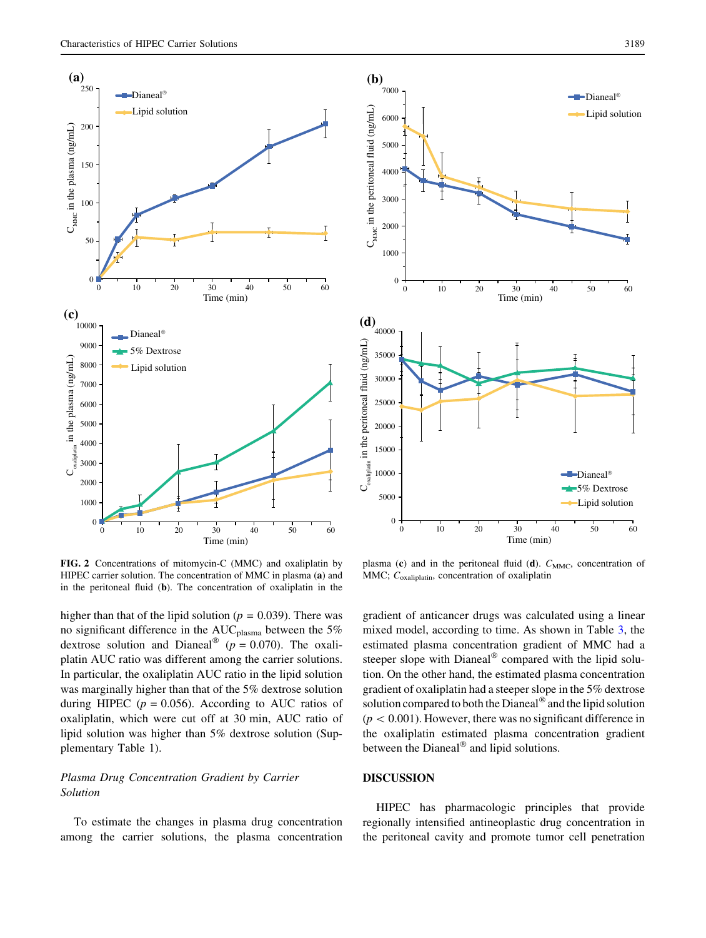

<span id="page-4-0"></span>



FIG. 2 Concentrations of mitomycin-C (MMC) and oxaliplatin by HIPEC carrier solution. The concentration of MMC in plasma (a) and in the peritoneal fluid (b). The concentration of oxaliplatin in the

higher than that of the lipid solution ( $p = 0.039$ ). There was no significant difference in the  $AUC_{plasma}$  between the 5% dextrose solution and Dianeal<sup>®</sup> ( $p = 0.070$ ). The oxaliplatin AUC ratio was different among the carrier solutions. In particular, the oxaliplatin AUC ratio in the lipid solution was marginally higher than that of the 5% dextrose solution during HIPEC ( $p = 0.056$ ). According to AUC ratios of oxaliplatin, which were cut off at 30 min, AUC ratio of lipid solution was higher than 5% dextrose solution (Supplementary Table 1).

# Plasma Drug Concentration Gradient by Carrier Solution

To estimate the changes in plasma drug concentration among the carrier solutions, the plasma concentration

plasma (c) and in the peritoneal fluid (d).  $C_{\text{MMC}}$ , concentration of MMC; C<sub>oxaliplatin</sub>, concentration of oxaliplatin

gradient of anticancer drugs was calculated using a linear mixed model, according to time. As shown in Table [3,](#page-6-0) the estimated plasma concentration gradient of MMC had a steeper slope with Dianeal® compared with the lipid solution. On the other hand, the estimated plasma concentration gradient of oxaliplatin had a steeper slope in the 5% dextrose solution compared to both the Dianeal® and the lipid solution  $(p<0.001)$ . However, there was no significant difference in the oxaliplatin estimated plasma concentration gradient between the Dianeal® and lipid solutions.

# DISCUSSION

HIPEC has pharmacologic principles that provide regionally intensified antineoplastic drug concentration in the peritoneal cavity and promote tumor cell penetration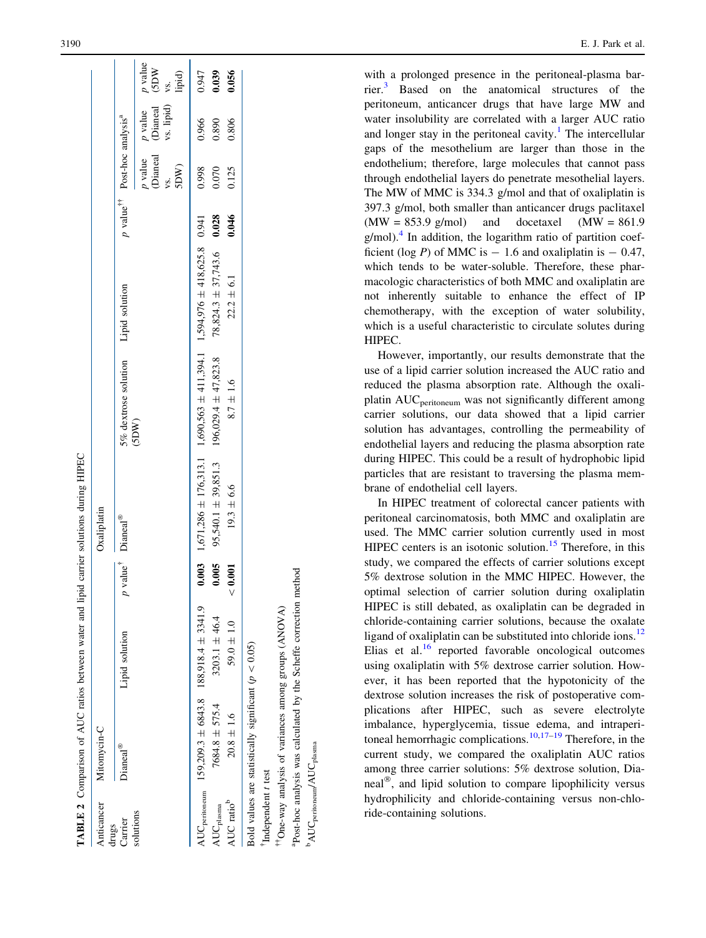TABLE 2 Comparison of AUC ratios between water and lipid carrier solutions during HIPEC

**ABLE 2** Comparison of AUC ratios between water and lipid carrier solutions during HIPEC

| Anticancer                       | Mitomycin-C                                              |                                           |                   | Oxaliplatin     |                                                                                 |                |       |                                                     |                                                                                                             |       |
|----------------------------------|----------------------------------------------------------|-------------------------------------------|-------------------|-----------------|---------------------------------------------------------------------------------|----------------|-------|-----------------------------------------------------|-------------------------------------------------------------------------------------------------------------|-------|
| Carrier<br>lrugs                 | <b>Dianeal®</b>                                          | Lipid solution                            | $value^{\dagger}$ | <b>Dianeal®</b> | 5% dextrose solution Lipid solution                                             |                |       | p value <sup>T</sup> Post-hoc analysis <sup>a</sup> |                                                                                                             |       |
| solutions                        |                                                          |                                           |                   |                 | (SDW)                                                                           |                |       |                                                     | <i>p</i> value <i>p</i> value <i>p</i> value<br>(Dianeal (Dianeal (SDW<br>vs. ws. lipid) vs.<br>SDW) lipid) |       |
| <b>NUC</b> peritoneum            |                                                          | $159,209.3 \pm 6843.8$ 188,918.4 ± 3341.9 |                   |                 | $0.003$ 1,671,286 ± 176,313.1 1,690,563 ± 411,394.1 1,594,976 ± 418,625.8 0.941 |                |       | 0.998                                               | 0.966                                                                                                       | 0.947 |
| $\mathrm{AUC}_{\mathrm{plasma}}$ | $7684.8 \pm 575.4$                                       | $3203.1 \pm 46.4$                         | 0.005             |                 | $95,540.1 \pm 39,851.3$ $196,029.4 \pm 47,823.8$ $78,824.3 \pm 37,743.6$ 0.028  |                |       | 0.070                                               | 0.890                                                                                                       | 0.039 |
| AUC ratio <sup>b</sup>           | $20.8 \pm 1.6$                                           | $59.0 \pm 1.0$                            | 0.001             | $19.3 \pm 6.6$  | $8.7\,\pm\,1.6$                                                                 | $22.2 \pm 6.1$ | 0.046 | 0.125                                               | 0.806                                                                                                       | 0.056 |
|                                  | Bold values are statistically significant ( $p < 0.05$ ) |                                           |                   |                 |                                                                                 |                |       |                                                     |                                                                                                             |       |
| Independent t test               |                                                          |                                           |                   |                 |                                                                                 |                |       |                                                     |                                                                                                             |       |

--

 $\mathrm{^bAUC}_{\mathrm{peritoneun}}/\mathrm{AUC}_{\mathrm{plasma}}$ 

'AUCperitoneum/AUC plasma

One-way analysis of variances among groups (ANOVA) aPost-hoc analysis was calculated by the Scheffe correction method

Post-hoc analysis was calculated by the Scheffe correction method

<span id="page-5-0"></span>3190 E. J. Park et al.

with a prolonged presence in the peritoneal-plasma barrier. $3$  Based on the anatomical structures of the peritoneum, anticancer drugs that have large MW and water insolubility are correlated with a larger AUC ratio and longer stay in the peritoneal cavity.<sup>[1](#page-7-0)</sup> The intercellular gaps of the mesothelium are larger than those in the endothelium; therefore, large molecules that cannot pass through endothelial layers do penetrate mesothelial layers. The MW of MMC is 334.3 g/mol and that of oxaliplatin is 397.3 g/mol, both smaller than anticancer drugs paclitaxel  $(MW = 853.9 \text{ g/mol})$  and docetaxel  $(MW = 861.9$ g/mol).<sup>[4](#page-7-0)</sup> In addition, the logarithm ratio of partition coefficient (log P) of MMC is  $-1.6$  and oxaliplatin is  $-0.47$ , which tends to be water-soluble. Therefore, these pharmacologic characteristics of both MMC and oxaliplatin are not inherently suitable to enhance the effect of IP chemotherapy, with the exception of water solubility, which is a useful characteristic to circulate solutes during HIPEC.

However, importantly, our results demonstrate that the use of a lipid carrier solution increased the AUC ratio and reduced the plasma absorption rate. Although the oxaliplatin AUC<sub>peritoneum</sub> was not significantly different among carrier solutions, our data showed that a lipid carrier solution has advantages, controlling the permeability of endothelial layers and reducing the plasma absorption rate during HIPEC. This could be a result of hydrophobic lipid particles that are resistant to traversing the plasma membrane of endothelial cell layers.

In HIPEC treatment of colorectal cancer patients with peritoneal carcinomatosis, both MMC and oxaliplatin are used. The MMC carrier solution currently used in most HIPEC centers is an isotonic solution.<sup>[15](#page-7-0)</sup> Therefore, in this study, we compared the effects of carrier solutions except 5% dextrose solution in the MMC HIPEC. However, the optimal selection of carrier solution during oxaliplatin HIPEC is still debated, as oxaliplatin can be degraded in chloride-containing carrier solutions, because the oxalate ligand of oxaliplatin can be substituted into chloride ions.<sup>[12](#page-7-0)</sup> Elias et al. $^{16}$  $^{16}$  $^{16}$  reported favorable oncological outcomes using oxaliplatin with 5% dextrose carrier solution. However, it has been reported that the hypotonicity of the dextrose solution increases the risk of postoperative complications after HIPEC, such as severe electrolyte imbalance, hyperglycemia, tissue edema, and intraperi-toneal hemorrhagic complications.<sup>[10,17–19](#page-7-0)</sup> Therefore, in the current study, we compared the oxaliplatin AUC ratios among three carrier solutions: 5% dextrose solution, Dianeal®, and lipid solution to compare lipophilicity versus hydrophilicity and chloride-containing versus non-chloride-containing solutions.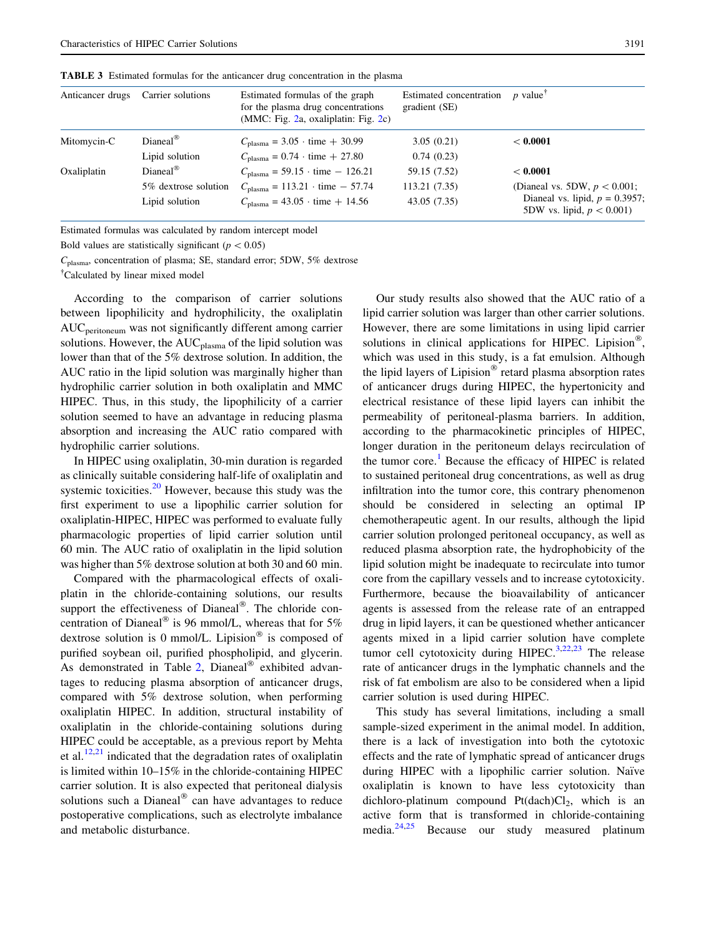| Anticancer drugs | Carrier solutions     | Estimated formulas of the graph<br>for the plasma drug concentrations<br>(MMC: Fig. $2a$ , oxaliplatin: Fig. $2c$ ) | Estimated concentration<br>gradient (SE) | $p$ value                                                         |
|------------------|-----------------------|---------------------------------------------------------------------------------------------------------------------|------------------------------------------|-------------------------------------------------------------------|
| Mitomycin-C      | $Dianeal^{\circledR}$ | $C_{\text{plasma}} = 3.05 \cdot \text{time} + 30.99$                                                                | 3.05(0.21)                               | < 0.0001                                                          |
|                  | Lipid solution        | $C_{\text{plasma}} = 0.74 \cdot \text{time} + 27.80$                                                                | 0.74(0.23)                               |                                                                   |
| Oxaliplatin      | $Diancal^{\circledR}$ | $C_{\text{plasma}} = 59.15 \cdot \text{time} - 126.21$                                                              | 59.15 (7.52)                             | < 0.0001                                                          |
|                  | 5\% dextrose solution | $C_{\text{plasma}} = 113.21 \cdot \text{time} - 57.74$                                                              | 113.21 (7.35)                            | (Dianeal vs. 5DW, $p < 0.001$ ;                                   |
|                  | Lipid solution        | $C_{\text{plasma}} = 43.05 \cdot \text{time} + 14.56$                                                               | 43.05(7.35)                              | Dianeal vs. lipid, $p = 0.3957$ ;<br>5DW vs. lipid, $p < 0.001$ ) |

<span id="page-6-0"></span>TABLE 3 Estimated formulas for the anticancer drug concentration in the plasma

Estimated formulas was calculated by random intercept model

Bold values are statistically significant ( $p < 0.05$ )

Cplasma, concentration of plasma; SE, standard error; 5DW, 5% dextrose

- Calculated by linear mixed model

According to the comparison of carrier solutions between lipophilicity and hydrophilicity, the oxaliplatin AUCperitoneum was not significantly different among carrier solutions. However, the AUC<sub>plasma</sub> of the lipid solution was lower than that of the 5% dextrose solution. In addition, the AUC ratio in the lipid solution was marginally higher than hydrophilic carrier solution in both oxaliplatin and MMC HIPEC. Thus, in this study, the lipophilicity of a carrier solution seemed to have an advantage in reducing plasma absorption and increasing the AUC ratio compared with hydrophilic carrier solutions.

In HIPEC using oxaliplatin, 30-min duration is regarded as clinically suitable considering half-life of oxaliplatin and systemic toxicities. $20$  However, because this study was the first experiment to use a lipophilic carrier solution for oxaliplatin-HIPEC, HIPEC was performed to evaluate fully pharmacologic properties of lipid carrier solution until 60 min. The AUC ratio of oxaliplatin in the lipid solution was higher than 5% dextrose solution at both 30 and 60 min.

Compared with the pharmacological effects of oxaliplatin in the chloride-containing solutions, our results support the effectiveness of Dianeal®. The chloride concentration of Dianeal® is 96 mmol/L, whereas that for 5% dextrose solution is 0 mmol/L. Lipision® is composed of purified soybean oil, purified phospholipid, and glycerin. As demonstrated in Table [2,](#page-5-0) Dianeal® exhibited advantages to reducing plasma absorption of anticancer drugs, compared with 5% dextrose solution, when performing oxaliplatin HIPEC. In addition, structural instability of oxaliplatin in the chloride-containing solutions during HIPEC could be acceptable, as a previous report by Mehta et al. $12,21$  indicated that the degradation rates of oxaliplatin is limited within 10–15% in the chloride-containing HIPEC carrier solution. It is also expected that peritoneal dialysis solutions such a Dianeal $^{\circledR}$  can have advantages to reduce postoperative complications, such as electrolyte imbalance and metabolic disturbance.

Our study results also showed that the AUC ratio of a lipid carrier solution was larger than other carrier solutions. However, there are some limitations in using lipid carrier solutions in clinical applications for HIPEC. Lipision®, which was used in this study, is a fat emulsion. Although the lipid layers of Lipision® retard plasma absorption rates of anticancer drugs during HIPEC, the hypertonicity and electrical resistance of these lipid layers can inhibit the permeability of peritoneal-plasma barriers. In addition, according to the pharmacokinetic principles of HIPEC, longer duration in the peritoneum delays recirculation of the tumor core.<sup>[1](#page-7-0)</sup> Because the efficacy of HIPEC is related to sustained peritoneal drug concentrations, as well as drug infiltration into the tumor core, this contrary phenomenon should be considered in selecting an optimal IP chemotherapeutic agent. In our results, although the lipid carrier solution prolonged peritoneal occupancy, as well as reduced plasma absorption rate, the hydrophobicity of the lipid solution might be inadequate to recirculate into tumor core from the capillary vessels and to increase cytotoxicity. Furthermore, because the bioavailability of anticancer agents is assessed from the release rate of an entrapped drug in lipid layers, it can be questioned whether anticancer agents mixed in a lipid carrier solution have complete tumor cell cytotoxicity during HIPEC.<sup>[3,22,23](#page-7-0)</sup> The release rate of anticancer drugs in the lymphatic channels and the risk of fat embolism are also to be considered when a lipid carrier solution is used during HIPEC.

This study has several limitations, including a small sample-sized experiment in the animal model. In addition, there is a lack of investigation into both the cytotoxic effects and the rate of lymphatic spread of anticancer drugs during HIPEC with a lipophilic carrier solution. Naïve oxaliplatin is known to have less cytotoxicity than dichloro-platinum compound  $Pt(dach)Cl<sub>2</sub>$ , which is an active form that is transformed in chloride-containing media.[24,25](#page-7-0) Because our study measured platinum